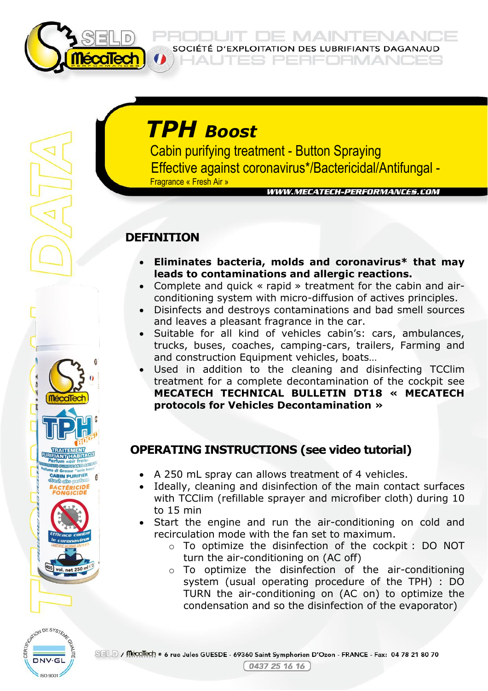

**JE MAINTENANI** SOCIÉTÉ D'EXPLOITATION DES LUBRIFIANTS DAGANAUD

PERFORMANO

# *TPH Boost*

 Cabin purifying treatment - Button Spraying Effective against coronavirus\*/Bactericidal/Antifungal - Fragrance « Fresh Air »

**WWW.MECATECH-PERFORMANCES.COM** 

# **DEFINITION**

- **Eliminates bacteria, molds and coronavirus\* that may leads to contaminations and allergic reactions.**
- Complete and quick « rapid » treatment for the cabin and airconditioning system with micro-diffusion of actives principles.
- Disinfects and destroys contaminations and bad smell sources and leaves a pleasant fragrance in the car.
- Suitable for all kind of vehicles cabin's: cars, ambulances, trucks, buses, coaches, camping-cars, trailers, Farming and and construction Equipment vehicles, boats…
- Used in addition to the cleaning and disinfecting TCClim treatment for a complete decontamination of the cockpit see **MECATECH TECHNICAL BULLETIN DT18 « MECATECH protocols for Vehicles Decontamination »**

# **OPERATING INSTRUCTIONS (see video tutorial)**

- A 250 mL spray can allows treatment of 4 vehicles.
- Ideally, cleaning and disinfection of the main contact surfaces with TCClim (refillable sprayer and microfiber cloth) during 10 to 15 min
- Start the engine and run the air-conditioning on cold and recirculation mode with the fan set to maximum.
	- o To optimize the disinfection of the cockpit : DO NOT turn the air-conditioning on (AC off)
	- o To optimize the disinfection of the air-conditioning system (usual operating procedure of the TPH) : DO TURN the air-conditioning on (AC on) to optimize the condensation and so the disinfection of the evaporator)



**CABIN PURIFIER**